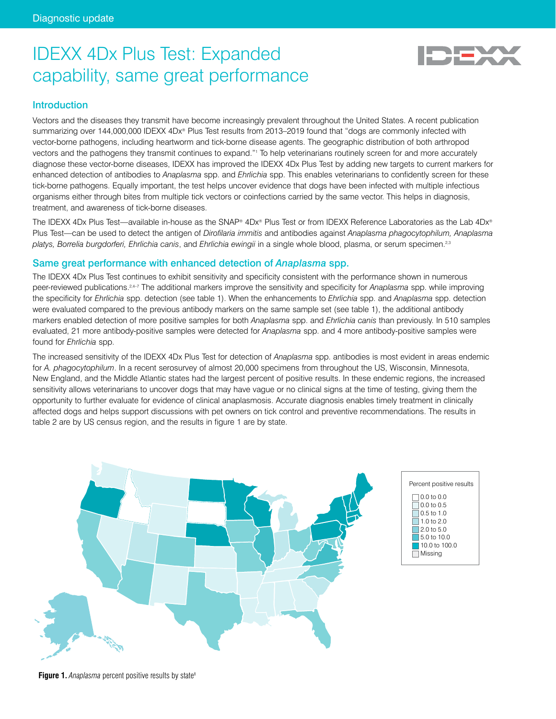# IDEXX 4Dx Plus Test: Expanded capability, same great performance



# **Introduction**

Vectors and the diseases they transmit have become increasingly prevalent throughout the United States. A recent publication summarizing over 144,000,000 IDEXX 4Dx® Plus Test results from 2013–2019 found that "dogs are commonly infected with vector-borne pathogens, including heartworm and tick-borne disease agents. The geographic distribution of both arthropod vectors and the pathogens they transmit continues to expand."1 To help veterinarians routinely screen for and more accurately diagnose these vector-borne diseases, IDEXX has improved the IDEXX 4Dx Plus Test by adding new targets to current markers for enhanced detection of antibodies to *Anaplasma* spp. and *Ehrlichia* spp. This enables veterinarians to confidently screen for these tick-borne pathogens. Equally important, the test helps uncover evidence that dogs have been infected with multiple infectious organisms either through bites from multiple tick vectors or coinfections carried by the same vector. This helps in diagnosis, treatment, and awareness of tick-borne diseases.

The IDEXX 4Dx Plus Test—available in-house as the SNAP® 4Dx® Plus Test or from IDEXX Reference Laboratories as the Lab 4Dx® Plus Test—can be used to detect the antigen of *Dirofilaria immitis* and antibodies against *Anaplasma phagocytophilum, Anaplasma platys, Borrelia burgdorferi, Ehrlichia canis*, and *Ehrlichia ewingii* in a single whole blood, plasma, or serum specimen.2,3

## Same great performance with enhanced detection of *Anaplasma* spp.

The IDEXX 4Dx Plus Test continues to exhibit sensitivity and specificity consistent with the performance shown in numerous peer-reviewed publications.2,4–7 The additional markers improve the sensitivity and specificity for *Anaplasma* spp. while improving the specificity for *Ehrlichia* spp. detection (see table 1). When the enhancements to *Ehrlichia* spp. and *Anaplasma* spp. detection were evaluated compared to the previous antibody markers on the same sample set (see table 1), the additional antibody markers enabled detection of more positive samples for both *Anaplasma* spp. and *Ehrlichia canis* than previously. In 510 samples evaluated, 21 more antibody-positive samples were detected for *Anaplasma* spp. and 4 more antibody-positive samples were found for *Ehrlichia* spp.

The increased sensitivity of the IDEXX 4Dx Plus Test for detection of *Anaplasma* spp. antibodies is most evident in areas endemic for *A. phagocytophilum*. In a recent serosurvey of almost 20,000 specimens from throughout the US, Wisconsin, Minnesota, New England, and the Middle Atlantic states had the largest percent of positive results. In these endemic regions, the increased sensitivity allows veterinarians to uncover dogs that may have vague or no clinical signs at the time of testing, giving them the opportunity to further evaluate for evidence of clinical anaplasmosis. Accurate diagnosis enables timely treatment in clinically affected dogs and helps support discussions with pet owners on tick control and preventive recommendations. The results in table 2 are by US census region, and the results in figure 1 are by state.





**Figure 1.** Anaplasma percent positive results by state<sup>8</sup>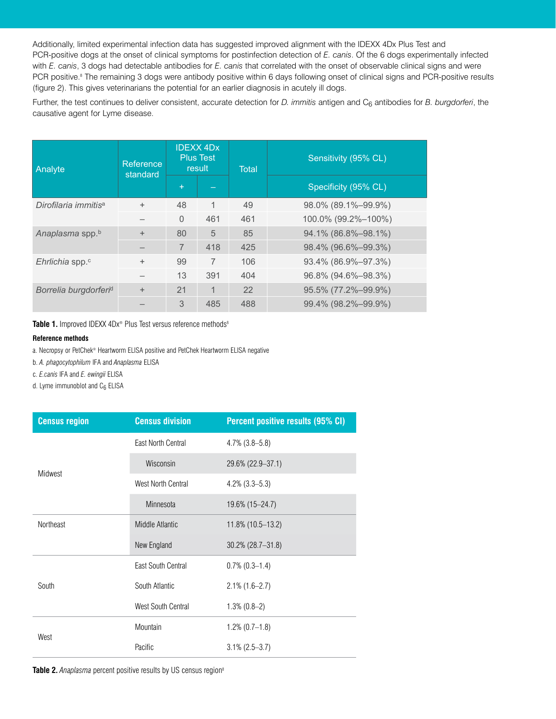Additionally, limited experimental infection data has suggested improved alignment with the IDEXX 4Dx Plus Test and PCR-positive dogs at the onset of clinical symptoms for postinfection detection of *E. canis*. Of the 6 dogs experimentally infected with *E. canis*, 3 dogs had detectable antibodies for *E. canis* that correlated with the onset of observable clinical signs and were PCR positive.<sup>8</sup> The remaining 3 dogs were antibody positive within 6 days following onset of clinical signs and PCR-positive results (figure 2). This gives veterinarians the potential for an earlier diagnosis in acutely ill dogs.

Further, the test continues to deliver consistent, accurate detection for *D. immitis* antigen and C<sub>6</sub> antibodies for *B. burgdorferi*, the causative agent for Lyme disease.

| Analyte                           | Reference<br>standard |           | <b>IDEXX 4Dx</b><br><b>Plus Test</b><br>result | <b>Total</b> | Sensitivity (95% CL) |
|-----------------------------------|-----------------------|-----------|------------------------------------------------|--------------|----------------------|
|                                   |                       | $\ddot{}$ |                                                |              | Specificity (95% CL) |
| Dirofilaria immitis <sup>a</sup>  | $+$                   | 48        | 1                                              | 49           | 98.0% (89.1%-99.9%)  |
|                                   |                       | $\Omega$  | 461                                            | 461          | 100.0% (99.2%-100%)  |
| Anaplasma spp.b                   | $+$                   | 80        | 5                                              | 85           | 94.1% (86.8%-98.1%)  |
|                                   |                       | 7         | 418                                            | 425          | 98.4% (96.6%-99.3%)  |
| Ehrlichia spp. <sup>c</sup>       | $+$                   | 99        | 7                                              | 106          | 93.4% (86.9%-97.3%)  |
|                                   |                       | 13        | 391                                            | 404          | 96.8% (94.6%-98.3%)  |
| Borrelia burgdorferi <sup>d</sup> | $+$                   | 21        | 1                                              | 22           | 95.5% (77.2%-99.9%)  |
|                                   |                       | 3         | 485                                            | 488          | 99.4% (98.2%-99.9%)  |

Table 1. Improved IDEXX 4Dx® Plus Test versus reference methods<sup>8</sup>

#### **Reference methods**

a. Necropsy or PetChek® Heartworm ELISA positive and PetChek Heartworm ELISA negative

b. *A. phagocytophilum* IFA and *Anaplasma* ELISA

c. *E.canis* IFA and *E. ewingii* ELISA 1 O 2021 IDEXX Laboratories, Inc. All rights reserved. Inc. All rights reserved. In all rights reserved. In all rights reserved. In all rights reserved. In all rights reserved. In all rights reserved. In all rights reserve

d. Lyme immunoblot and C6 ELISA

| <b>Census region</b> | <b>Census division</b> | Percent positive results (95% CI) |
|----------------------|------------------------|-----------------------------------|
|                      | East North Central     | $4.7\%$ (3.8–5.8)                 |
| Midwest              | Wisconsin              | 29.6% (22.9-37.1)                 |
|                      | West North Central     | $4.2\%$ (3.3–5.3)                 |
|                      | Minnesota              | 19.6% (15-24.7)                   |
| Northeast            | Middle Atlantic        | 11.8% (10.5-13.2)                 |
|                      | New England            | $30.2\%$ (28.7-31.8)              |
|                      | East South Central     | $0.7\%$ (0.3-1.4)                 |
| South                | South Atlantic         | $2.1\%$ (1.6–2.7)                 |
|                      | West South Central     | $1.3\%$ (0.8-2)                   |
|                      | Mountain               | $1.2\%$ (0.7–1.8)                 |
| West                 | Pacific                | $3.1\% (2.5 - 3.7)$               |

**Table 2.** *Anaplasma* percent positive results by US census region<sup>8</sup>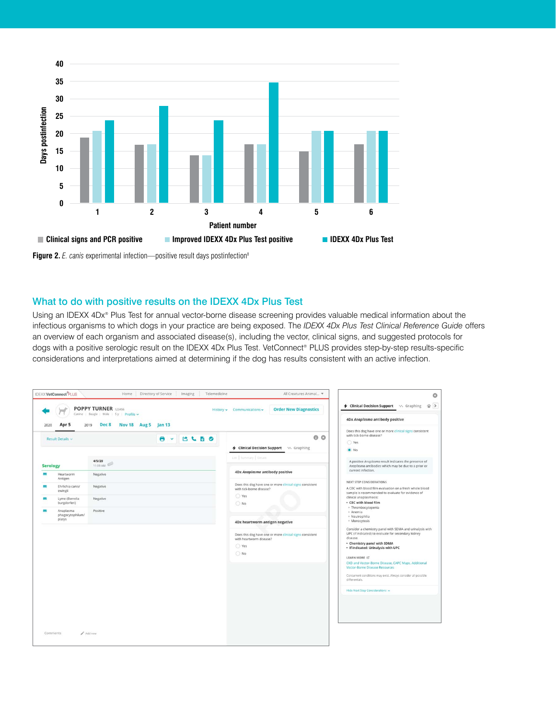

**Figure 2.** *E. canis* experimental infection—positive result days postinfection<sup>8</sup>

# What to do with positive results on the IDEXX 4Dx Plus Test

Using an IDEXX 4Dx® Plus Test for annual vector-borne disease screening provides valuable medical information about the infectious organisms to which dogs in your practice are being exposed. The *IDEXX 4Dx Plus Test Clinical Reference Guide* offers an overview of each organism and associated disease(s), including the vector, clinical signs, and suggested protocols for dogs with a positive serologic result on the IDEXX 4Dx Plus Test. VetConnect® PLUS provides step-by-step results-specific considerations and interpretations aimed at determining if the dog has results consistent with an active infection.

| 4 Clinical Decision Support \\\\ Graphing<br>4Dx Anaplasma antibody positive<br>Does this dog have one or more clinical signs consistent                                                                          | <b>Order New Diagnostics</b><br>History v Communications v                                                     |                                  | <b>POPPY TURNER 123456</b><br>Canine   Beagle   Male   5y   Profile ~<br>Nov 18 Aug 5 Jan 13<br>Dec 8 | Apr 5<br>2019                                                            | 2020                  |
|-------------------------------------------------------------------------------------------------------------------------------------------------------------------------------------------------------------------|----------------------------------------------------------------------------------------------------------------|----------------------------------|-------------------------------------------------------------------------------------------------------|--------------------------------------------------------------------------|-----------------------|
| with tick-borne disease?<br>◯ Yes<br>$\bullet$ No                                                                                                                                                                 | 00<br>4 Clinical Decision Support v. Graphing                                                                  | <b>CLBO</b><br>Θ<br>$\checkmark$ |                                                                                                       | Result Details v                                                         |                       |
| A positive Anaplasma result indicates the presence of                                                                                                                                                             | List   Summary   Decans                                                                                        |                                  | 4/5/20                                                                                                |                                                                          |                       |
| Anaplasma antibodies which may be due to a prior or<br>current infection.                                                                                                                                         | 4Dx Anaplasma antibody positive                                                                                |                                  | 11:09 AM<br>Negative                                                                                  | Heartworm                                                                | <b>Serology</b><br>38 |
| NEXT STEP CONSIDERATIONS<br>A CBC with blood film evaluation on a fresh whole blood<br>sample is recommended to evaluate for evidence of<br>clinical anaplasmosis:<br>· CBC with blood film                       | Does this dog have one or more clinical signs consistent<br>with tick-borne disease?<br>○ Yes<br>$\bigcirc$ No |                                  | Negative<br>Negative                                                                                  | Antigen<br>Ehrlichia canis/<br>ewingii<br>Lyme (Borrelia<br>burgdorferi) | 88<br>88              |
| · Thrombocytopenia<br>· Anemia<br>· Neutrophilia<br>· Monocytosis                                                                                                                                                 | 4Dx heartworm antigen negative                                                                                 |                                  | Positive                                                                                              | Anaplasma<br>phagocytophilum/<br>platys                                  | m                     |
| Consider a chemistry panel with SDMA and urinalysis with<br>UPC (if indicated) to evaluate for secondary kidney<br>disease.<br>- Chemistry panel with SDMA<br>· If indicated: Urinalysis with UPC<br>LEARN MORE C | Does this dog have one or more clinical signs consistent<br>with heartworm disease?<br>C Yes<br>$\bigcirc$ No  |                                  |                                                                                                       |                                                                          |                       |
| CKD and Vector-Borne Disease, CAPC Maps, Additional<br>Vector-Borne Disease Resources<br>Concurrent conditions may exist. Always consider all possible<br>differentials.                                          |                                                                                                                |                                  |                                                                                                       |                                                                          |                       |
| Hide Next Step Considerations A                                                                                                                                                                                   |                                                                                                                |                                  |                                                                                                       |                                                                          |                       |